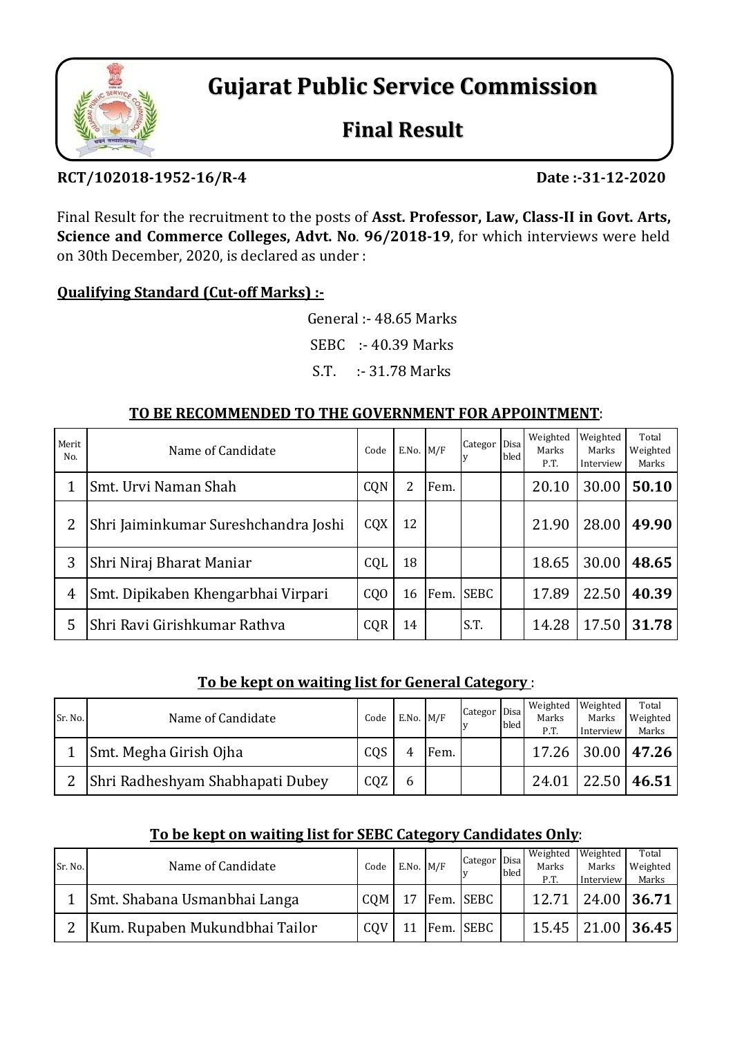

**Gujarat Public Service Commission**

# **Final Result**

# **RCT/102018‐1952‐16/R‐4 Date :‐31‐12‐2020**

Final Result for the recruitment to the posts of **Asst. Professor, Law, Class‐II in Govt. Arts, Science and Commerce Colleges, Advt. No**. **96/2018‐19**, for which interviews were held on 30th December, 2020, is declared as under :

## **Qualifying Standard (Cut‐off Marks) :‐**

General :- 48.65 Marks SEBC :- 40.39 Marks

## S.T. :- 31.78 Marks

## **TO BE RECOMMENDED TO THE GOVERNMENT FOR APPOINTMENT**:

| Merit<br>No. | Name of Candidate                    | Code           | $E.No.$ M/F |      | Categor Disa | bled | Weighted<br>Marks<br>P.T. | Weighted<br>Marks<br>Interview | Total<br>Weighted<br>Marks |
|--------------|--------------------------------------|----------------|-------------|------|--------------|------|---------------------------|--------------------------------|----------------------------|
|              | Smt. Urvi Naman Shah                 | CQN            | 2           | Fem. |              |      | 20.10                     | 30.00                          | 50.10                      |
| 2            | Shri Jaiminkumar Sureshchandra Joshi | CQX            | 12          |      |              |      | 21.90                     | 28.00                          | 49.90                      |
| 3            | Shri Niraj Bharat Maniar             | CQL            | 18          |      |              |      | 18.65                     | 30.00                          | 48.65                      |
| 4            | Smt. Dipikaben Khengarbhai Virpari   | C <sub>0</sub> | 16          | Fem. | <b>SEBC</b>  |      | 17.89                     | 22.50                          | 40.39                      |
| 5            | Shri Ravi Girishkumar Rathva         | CQR            | 14          |      | S.T.         |      | 14.28                     | 17.50                          | 31.78                      |

#### **To be kept on waiting list for General Category** :

| Sr. No.        | Name of Candidate                | Code | $E.No.$ M/F |      | Categor Disa | bled | Weighted<br>Marks<br>P.T. | Weighted<br>Marks<br>Interview | Total<br>Weighted<br>Marks |
|----------------|----------------------------------|------|-------------|------|--------------|------|---------------------------|--------------------------------|----------------------------|
|                | Smt. Megha Girish Ojha           | CQS  |             | Fem. |              |      | 17.26                     |                                | $ 30.00 $ 47.26            |
| $\overline{2}$ | Shri Radheshyam Shabhapati Dubey | CQZ  | b           |      |              |      | 24.01                     | 22.50                          | 46.51                      |

#### **To be kept on waiting list for SEBC Category Candidates Only**:

| Sr. No. | Name of Candidate              | Code | $E.No.$ M/F | Categor Disa | bled | Weighted<br>Marks<br>P.T. | Weighted<br>Marks<br>Interview | Total<br>Weighted<br>Marks |
|---------|--------------------------------|------|-------------|--------------|------|---------------------------|--------------------------------|----------------------------|
|         | Smt. Shabana Usmanbhai Langa   | COM  | 17          | Fem. SEBC    |      | 12.71                     |                                | 24.00 36.71                |
|         | Kum. Rupaben Mukundbhai Tailor | CQV  |             | Fem. SEBC    |      | $15.45$ 1                 |                                | 21.00 36.45                |